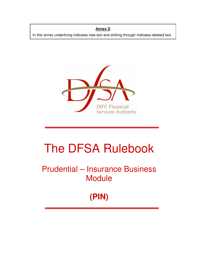**Annex D**

In this annex underlining indicates new text and striking through indicates deleted text.



# The DFSA Rulebook

Prudential – Insurance Business **Module** 

**(PIN)**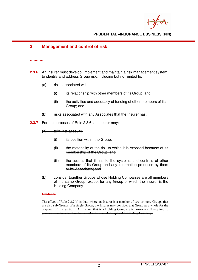# **2 Management and control of risk**

#### **………….**

- **2.3.6** An Insurer must develop, implement and maintain a risk management system to identify and address Group risk, including but not limited to:
	- $(a)$  risks associated with:
		- $(i)$  its relationship with other members of its Group; and
		- (ii) the activities and adequacy of funding of other members of its Group; and
	- (b) risks associated with any Associates that the Insurer has.

**2.3.7** For the purposes of Rule 2.3.6, an Insurer may:

 $(a)$  take into account:

- $(i)$  its position within the Group,
- (ii) the materiality of the risk to which it is exposed because of its membership of the Group, and
- (iii) the access that it has to the systems and controls of other members of its Group and any information produced by them or by Associates; and
- (b) consider together Groups whose Holding Companies are all members of the same Group, except for any Group of which the Insurer is the Holding Company.

#### **Guidance**

The effect of Rule 2.3.7(b) is that, where an Insurer is a member of two or more Groups that are also sub-Groups of a single Group, the Insurer may consider that Group as a whole for the purposes of this section. An Insurer that is a Holding Company is however still required to give specific consideration to the risks to which it is exposed as Holding Company.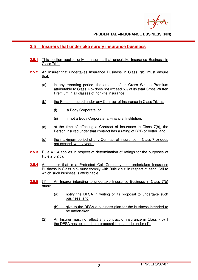

# **2.5 Insurers that undertake surety insurance business**

- **2.5.1** This section applies only to Insurers that undertake Insurance Business in Class 7(b).
- **2.5.2** An Insurer that undertakes Insurance Business in Class 7(b) must ensure that:
	- (a) in any reporting period, the amount of its Gross Written Premium attributable to Class 7(b) does not exceed 5% of its total Gross Written Premium in all classes of non-life insurance;
	- (b) the Person insured under any Contract of Insurance in Class 7(b) is:
		- (i) a Body Corporate; or
		- (ii) if not a Body Corporate, a Financial Institution;
	- (c) at the time of effecting a Contract of Insurance in Class 7(b), the Person insured under that contract has a rating of BBB or better; and
	- (d) the maximum period of any Contract of Insurance in Class 7(b) does not exceed twenty years.
- **2.5.3** Rule 4.1.4 applies in respect of determination of ratings for the purposes of Rule 2.5.2(c).
- **2.5.4** An Insurer that is a Protected Cell Company that undertakes Insurance Business in Class 7(b) must comply with Rule 2.5.2 in respect of each Cell to which such business is attributable.
- **2.5.5** (1) An Insurer intending to undertake Insurance Business in Class 7(b) must:
	- (a) notify the DFSA in writing of its proposal to undertake such business; and
	- (b) give to the DFSA a business plan for the business intended to be undertaken.
	- (2) An Insurer must not effect any contract of insurance in Class 7(b) if the DFSA has objected to a proposal it has made under (1).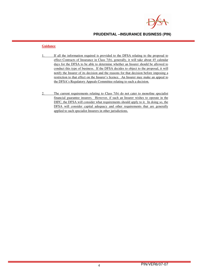

- 1. If all the information required is provided to the DFSA relating to the proposal to effect Contracts of Insurance in Class 7(b), generally, it will take about 45 calendar days for the DFSA to be able to determine whether an Insurer should be allowed to conduct this type of business. If the DFSA decides to object to the proposal, it will notify the Insurer of its decision and the reasons for that decision before imposing a restriction to that effect on the Insurer's licence. An Insurer may make an appeal to the DFSA's Regulatory Appeals Committee relating to such a decision.
- 2. The current requirements relating to Class 7(b) do not cater to monoline specialist financial guarantee insurers. However, if such an Insurer wishes to operate in the DIFC, the DFSA will consider what requirements should apply to it. In doing so, the DFSA will consider capital adequacy and other requirements that are generally applied to such specialist Insurers in other jurisdictions.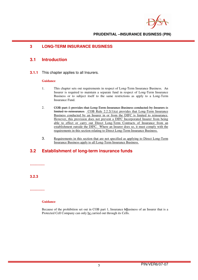# **3 LONG-TERM INSURANCE BUSINESS**

# **3.1 Introduction**

**3.1.1** This chapter applies to all Insurers.

#### **Guidance**

- 1. This chapter sets out requirements in respect of Long-Term Insurance Business. An Insurer is required to maintain a separate fund in respect of Long-Term Insurance Business or to subject itself to the same restrictions as apply to a Long-Term Insurance Fund.
- 2. COB part 1 provides that Long-Term Insurance Business conducted by Insurers is limited to reinsurance. COB Rule 2.2.2(1)(a) provides that Long-Term Insurance Business conducted by an Insurer in or from the DIFC is limited to reinsurance. However, this provision does not prevent a DIFC Incorporated Insurer from being able to effect or carry out Direct Long-Term Contracts of Insurance from an establishment outside the DIFC. Where an Insurer does so, it must comply with the requirements in this section relating to Direct Long-Term Insurance Business.
- 3. Requirements in this section that are not specified as applying to Direct Long-Term Insurance Business apply to all Long-Term Insurance Business.

# **3.2 Establishment of long-term insurance funds**

**…………**

**3.2.3**

**…………**

### **Guidance**

Because of the prohibition set out in COB part 1, Insurance  $\frac{1}{2}$ Business of an Insurer that is a Protected Cell Company can only be carried out through its Cells.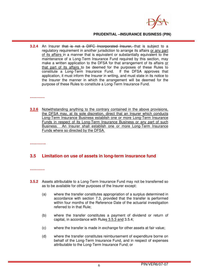

**3.2.4** An Insurer that is not a DIFC Incorporated Insurer, that is subject to a regulatory requirement in another jurisdiction to arrange its affairs or any part of its affairs in a manner that is equivalent or substantially equivalent to the maintenance of a Long-Term Insurance Fund required by this section, may make a written application to the DFSA for that arrangement of its affairs or that part of its affairs to be deemed for the purposes of these Rules to constitute a Long-Term Insurance Fund. If the DFSA approves that constitute a Long-Term Insurance Fund. application, it must inform the Insurer in writing, and must state in its notice to the Insurer the manner in which the arrangement will be deemed for the purpose of these Rules to constitute a Long-Term Insurance Fund.

#### **…………**

**3.2.6** Notwithstanding anything to the contrary contained in the above provisions, the DFSA may, at its sole discretion, direct that an Insurer which conducts Long-Term Insurance Business establish one or more Long-Term Insurance Funds in respect of its Long-Term Insurance Business or any part of such Business. An Insurer shall establish one or more Long-Term Insurance Funds where so directed by the DFSA.

**………….** 

# **3.5 Limitation on use of assets in long-term insurance fund**

#### **…………**

- **3.5.2** Assets attributable to a Long-Term Insurance Fund may not be transferred so as to be available for other purposes of the Insurer except:
	- (a) where the transfer constitutes appropriation of a surplus determined in accordance with section 7.3, provided that the transfer is performed within four months of the Reference Date of the actuarial investigation referred to in that Rule;
	- (b) where the transfer constitutes a payment of dividend or return of capital, in accordance with Rules 3.5.3 and 3.5.4;
	- (c) where the transfer is made in exchange for other assets at fair value;
	- (d) where the transfer constitutes reimbursement of expenditure borne on behalf of the Long-Term Insurance Fund, and in respect of expenses attributable to the Long-Term Insurance Fund; or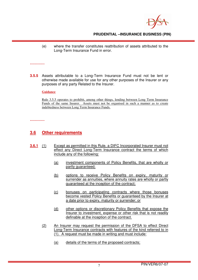

(e) where the transfer constitutes reattribution of assets attributed to the Long-Term Insurance Fund in error.

**…………**

**3.5.5** Assets attributable to a Long-Term Insurance Fund must not be lent or otherwise made available for use for any other purposes of the Insurer or any purposes of any party Related to the Insurer.

**Guidance**

Rule 3.5.5 operates to prohibit, among other things, lending between Long Term Insurance Funds of the same Insurer. Assets must not be organised in such a manner as to create indebtedness between Long Term Insurance Funds.

**…………**

# **3.6 Other requirements**

- **3.6.1** (1) Except as permitted in this Rule, a DIFC Incorporated Insurer must not effect any Direct Long-Term Insurance contract the terms of which include any of the following:
	- (a) investment components of Policy Benefits, that are wholly or partly guaranteed;
	- (b) options to receive Policy Benefits on expiry, maturity or surrender as annuities, where annuity rates are wholly or partly guaranteed at the inception of the contract;
	- (c) bonuses on participating contracts where those bonuses become vested Policy Benefits or guaranteed by the Insurer at a date prior to expiry, maturity or surrender; or
	- (d) other options or discretionary Policy Benefits that expose the Insurer to investment, expense or other risk that is not readily definable at the inception of the contract.
	- (2) An Insurer may request the permission of the DFSA to effect Direct Long-Term Insurance contracts with features of the kind referred to in (1). A request must be made in writing and must include:
		- (a) details of the terms of the proposed contracts;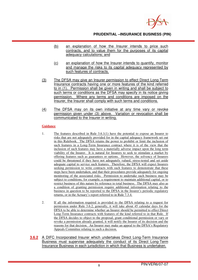

- (b) an explanation of how the Insurer intends to price such contracts, and to value them for the purposes of its capital adequacy calculations; and
- (c) an explanation of how the Insurer intends to quantify, monitor and manage the risks to its capital adequacy represented by such features of contracts.
- (3) The DFSA may give an Insurer permission to effect Direct Long-Term Insurance contracts having one or more features of the kind referred to in (1). Permission shall be given in writing and shall be subject to such terms or conditions as the DFSA may specify in its notice giving permission. Where any terms and conditions are imposed on the Insurer, the Insurer shall comply with such terms and conditions.
- (4) The DFSA may on its own initiative at any time vary or revoke permission given under (3) above. Variation or revocation shall be communicated to the Insurer in writing.

- 1. The features described in Rule 3.6.1(1) have the potential to expose an Insurer to risks that are not adequately provided for in the capital adequacy framework set out in this Rulebook. The DFSA retains the power to prohibit or limit the inclusion of such features in a Long-Term Insurance contract where it is of the view that the inclusion of such features may have a materially adverse impact upon the long term viability of the Insurer. It is natural for Insurers to seek to stimulate a market by offering features such as guarantees or options. However, the solvency of Insurers could be threatened if they have not adequately valued, stress-tested and set aside adequate capital to service such features. Therefore, the DFSA will expect Insurers seeking permission to write contracts with such features to demonstrate that these steps have been undertaken, and that their procedures provide adequately for ongoing monitoring of the associated risks. Permission to undertake such business may be subject to conditions, for example, a requirement to maintain additional capital, or to restrict business of this nature by reference to total business. The DFSA may also as a condition of granting permission require additional information relating to the business in question to be reported to the DFSA in the Insurer's periodic regulatory returns, or in the Actuary's report referred to in Rule 7.3.4.
- 2. If all the information required is provided to the DFSA relating to a request for permission under Rule 3.6.2, generally, it will take about 45 calendar days for the DFSA to be able to determine whether an Insurer should be permitted to effect Direct Long-Term Insurance contracts with features of the kind referred to in that Rule. If the DFSA decides to object to the proposal, grant conditional permission or vary or revoke a permission already granted, it will notify the Insurer of its decision and the reasons for that decision. An Insurer may make an appeal to the DFSA's Regulatory Appeals Committee relating to such a decision.
- **3.6.2** A DIFC Incorporated Insurer which undertakes Direct Long-Term Insurance Business must supervise adequately the conduct of its Direct Long-Term Insurance Business in each jurisdiction in which that Business is undertaken.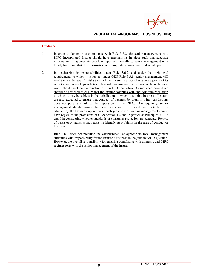

- 1. In order to demonstrate compliance with Rule 3.6.2, the senior management of a DIFC Incorporated Insurer should have mechanisms in place such that adequate information, in appropriate detail, is reported internally to senior management on a timely basis, and that this information is appropriately considered and acted upon.
- 2. In discharging its responsibilities under Rule 3.6.2, and under the high level requirements to which it is subject under GEN Rule 5.3.1, senior management will need to consider specific risks to which the Insurer is exposed as a consequence of its activity within each jurisdiction. Internal governance procedures such as Internal Audit should include examination of non-DIFC activities. Compliance procedures should be designed to ensure that the Insurer complies with any domestic regulation to which it may be subject in the jurisdiction in which it is doing business. Insurers are also expected to ensure that conduct of business by them in other jurisdictions does not pose any risk to the reputation of the DIFC. Consequently, senior management should ensure that adequate standards of customer protection are adopted by the Insurer's operation in each jurisdiction. Senior management should have regard to the provisions of GEN section 4.2 and in particular Principles 6, 7, 8 and 9 in considering whether standards of consumer protection are adequate. Review of persistency statistics may assist in identifying problems in the area of conduct of business.
- 3. Rule 3.6.2 does not preclude the establishment of appropriate local management structures with responsibility for the Insurer's business in the jurisdiction in question. However, the overall responsibility for ensuring compliance with domestic and DIFC regimes rests with the senior management of the Insurer.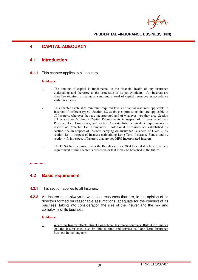# **4 CAPITAL ADEQUACY**

# **4.1 Introduction**

**4.1.1** This chapter applies to all Insurers.

#### **Guidance**

- 1. The amount of capital is fundamental to the financial health of any insurance undertaking and therefore to the protection of its policyholders. All Insurers are therefore required to maintain a minimum level of capital resources in accordance with this chapter.
- 2. This chapter establishes minimum required levels of capital resources applicable to Insurers of different types. Section 4.2 establishes provisions that are applicable to all Insurers, wherever they are incorporated and of whatever type they are. Section 4.3 establishes Minimum Capital Requirements in respect of Insurers other than Protected Cell Companies, and section 4.4 establishes equivalent requirements in respect of Protected Cell Companies. Additional provisions are established by section 4.5, in respect of Insurers carrying on Insurance Business of Class 7, by section 4.6, in respect of Insurers maintaining Long-Term Insurance Funds, and by section 4.7, in respect of Insurers that are not DIFC Incorporated Insurers.
- 3. The DFSA has the power under the Regulatory Law 2004 to act if it believes that any requirement of this chapter is breached, or that it may be breached in the future.

#### **………….**

# **4.2 Basic requirement**

- **4.2.1** This section applies to all Insurers.
- **4.2.2** An Insurer must always have capital resources that are, in the opinion of its directors formed on reasonable assumptions, adequate for the conduct of its business, taking into consideration the size of the Insurer and the mix and complexity of its business.

#### **Guidance**

1. Where an Insurer effects Direct Long-Term Insurance contracts, Rule 4.2.2 implies that the Insurer must also be able to fund and service its Long-Term Insurance Business in the long term.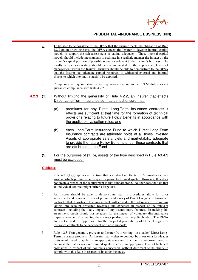

- 2. To be able to demonstrate to the DFSA that the Insurer meets the obligation of Rule 4.2.2 on an on-going basis, the DFSA expects the Insurer to develop internal capital models to support the self-assessment of capital adequacy. Those internal capital models should include mechanisms to estimate in a realistic manner the impact on the Insurer's capital position of possible scenarios relevant to the Insurer's business. The results of scenario testing should be communicated to the appropriate levels of management within the Insurer. Insurers should be able to demonstrate to the DFSA that the Insurer has adequate capital resources to withstand external and internal shocks to which they may plausibly be exposed.
- 3. Compliance with quantitative capital requirements set out in the PIN Module does not guarantee compliance with Rule 4.2.2.
- **4.2.3** (1) Without limiting the generality of Rule 4.2.2, an Insurer that effects Direct Long-Term Insurance contracts must ensure that:
	- (a) premiums for any Direct Long-Term Insurance contracts it effects are sufficient at that time for the formation of technical provisions relating to future Policy Benefits in accordance with the applicable valuation rules; and
	- (b) each Long-Term Insurance Fund to which Direct Long-Term Insurance contracts are attributed holds at all times Invested Assets of appropriate safety, yield and marketability adequate to provide the future Policy Benefits under those contracts that are attributed to the Fund.
	- (2) For the purposes of (1)(b), assets of the type described in Rule A3.4.3 must be excluded.

- 1. Rule  $4.2.3(1)(a)$  applies at the time that a contract is effected. Circumstances may arise in which premiums subsequently prove to be inadequate. However, this does not create a breach of the requirement in that subparagraph. Neither does the fact that an individual contract might suffer a large loss.
- 2. An Insurer should be able to demonstrate that its procedures allow for prior assessment and periodic review of premium adequacy of Direct Long-Term Insurance contracts that it writes. The assessment will consider the adequacy of premiums taking into account projected revenues and expenses in respect of the relevant contracts, including the likely impact of any discretionary features. In making this assessment, credit should not be taken for the impact of voluntary discontinuance (lapse, surrender of or making the contract paid-up) by the policyholder. The DFSA does not consider it appropriate for the projected profitability of Direct Long-Term Insurance contracts to be dependent on 'lapse support'.
- 3. Rule 4.2.3(1)(a) generally prevents an Insurer from writing 'loss leader' Direct Long-Term Insurance products. An Insurer that wishes to conduct business on a loss-leader basis would need to apply for an appropriate waiver. Such an Insurer would need to demonstrate that its resources are adequate to cover an appropriate level of technical provisions in respect of the contracts concerned, without detriment to its ability to comply with this Rule in respect of its other business.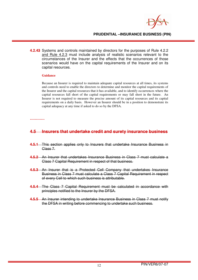

**4.2.43** Systems and controls maintained by directors for the purposes of Rule 4.2.2 and Rule 4.2.3 must include analysis of realistic scenarios relevant to the circumstances of the Insurer and the effects that the occurrences of those scenarios would have on the capital requirements of the Insurer and on its capital resources.

#### **Guidance**

Because an Insurer is required to maintain adequate capital resources at all times, its systems and controls need to enable the directors to determine and monitor the capital requirements of the Insurer and the capital resources that it has available, and to identify occurrences where the capital resources fall short of the capital requirements or may fall short in the future. An Insurer is not required to measure the precise amount of its capital resources and its capital requirements on a daily basis. However an Insurer should be in a position to demonstrate its capital adequacy at any time if asked to do so by the DFSA.

#### **…………**

# **4.5 Insurers that undertake credit and surety insurance business**

- **4.5.1** This section applies only to Insurers that undertake Insurance Business in Class 7.
- **4.5.2** An Insurer that undertakes Insurance Business in Class 7 must calculate a Class 7 Capital Requirement in respect of that business.
- **4.5.3** An Insurer that is a Protected Cell Company that undertakes Insurance Business in Class 7 must calculate a Class 7 Capital Requirement in respect of every Cell to which such business is attributable.
- **4.5.4** The Class 7 Capital Requirement must be calculated in accordance with principles notified to the Insurer by the DFSA.
- **4.5.5** An Insurer intending to undertake Insurance Business in Class 7 must notify the DFSA in writing before commencing to undertake such business.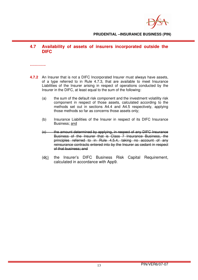

# **4.7 Availability of assets of insurers incorporated outside the DIFC**

**………….** 

- **4.7.2** An Insurer that is not a DIFC Incorporated Insurer must always have assets, of a type referred to in Rule 4.7.3, that are available to meet Insurance Liabilities of the Insurer arising in respect of operations conducted by the Insurer in the DIFC, at least equal to the sum of the following:
	- (a) the sum of the default risk component and the investment volatility risk component in respect of those assets, calculated according to the methods set out in sections A4.4 and A4.5 respectively, applying those methods so far as concerns those assets only;
	- (b) Insurance Liabilities of the Insurer in respect of its DIFC Insurance Business; and
	- (c) the amount determined by applying, in respect of any DIFC Insurance Business of the Insurer that is Class 7 Insurance Business, the principles referred to in Rule 4.5.4, taking no account of any reinsurance contracts entered into by the Insurer as cedant in respect of that business; and
	- $(d_{\rm C})$  the Insurer's DIFC Business Risk Capital Requirement, calculated in accordance with App9.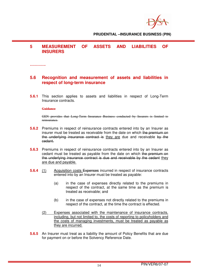# **5 MEASUREMENT OF ASSETS AND LIABILITIES OF INSURERS**

**………….** 

# **5.6 Recognition and measurement of assets and liabilities in respect of long-term insurance**

**5.6.1** This section applies to assets and liabilities in respect of Long-Term Insurance contracts.

#### **Guidance**

GEN provides that Long-Term Insurance Business conducted by Insurers is limited to reinsurance.

- **5.6.2** Premiums in respect of reinsurance contracts entered into by an Insurer as insurer must be treated as receivable from the date on which the premium on the underlying insurance contract is they are due and receivable by the cedant.
- **5.6.3** Premiums in respect of reinsurance contracts entered into by an Insurer as cedant must be treated as payable from the date on which the premium on the underlying insurance contract is due and receivable by the cedant they are due and payable.
- **5.6.4** (1) Acquisition costs Expenses incurred in respect of insurance contracts entered into by an Insurer must be treated as payable:
	- (a) in the case of expenses directly related to the premiums in respect of the contract, at the same time as the premium is treated as receivable; and
	- (b) in the case of expenses not directly related to the premiums in respect of the contract, at the time the contract is effected.
	- (2) Expenses associated with the maintenance of insurance contracts, including, but not limited to, the costs of reporting to policyholders and the costs of managing investments, must be treated as payable as they are incurred.
- **5.6.5** An Insurer must treat as a liability the amount of Policy Benefits that are due for payment on or before the Solvency Reference Date.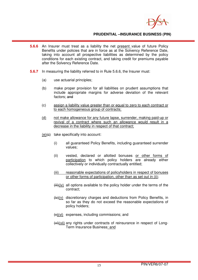

- **5.6.6** An Insurer must treat as a liability the net present value of future Policy Benefits under policies that are in force as at the Solvency Reference Date, taking into account all prospective liabilities as determined by the policy conditions for each existing contract, and taking credit for premiums payable after the Solvency Reference Date.
- **5.6.7** In measuring the liability referred to in Rule 5.6.6, the Insurer must:
	- (a) use actuarial principles;
	- (b) make proper provision for all liabilities on prudent assumptions that include appropriate margins for adverse deviation of the relevant factors; and
	- (c) assign a liability value greater than or equal to zero to each contract or to each homogeneous group of contracts;
	- (d) not make allowance for any future lapse, surrender, making paid-up or revival of a contract where such an allowance would result in a decrease in the liability in respect of that contract;
	- $(e)(e)$  take specifically into account:
		- (i) all guaranteed Policy Benefits, including guaranteed surrender values;
		- (ii) vested, declared or allotted bonuses or other forms of participation to which policy holders are already either collectively or individually contractually entitled;
		- (iii) reasonable expectations of policyholders in respect of bonuses or other forms of participation, other than as set out in (ii);
		- $(Hii)(iv)$  all options available to the policy holder under the terms of the contract;
		- $(i\mathbf{v})(v)$  discretionary charges and deductions from Policy Benefits, in so far as they do not exceed the reasonable expectations of policy holders;
		- $(v)$  expenses, including commissions; and
		- (vi)(vii) any rights under contracts of reinsurance in respect of Long-Term Insurance Business: and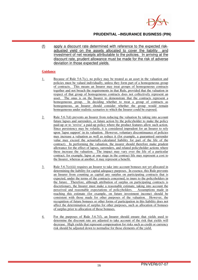

(f) apply a discount rate determined with reference to the expected riskadjusted yield on the assets allocated to cover the liability and investment of net receipts attributable to the policies. In arriving at the discount rate, prudent allowance must be made for the risk of adverse deviation in those expected yields.

- 1. Because of Rule 5.6.7(c), no policy may be treated as an asset in the valuation and policies must be valued individually, unless they form part of a homogeneous group of contracts. This means an Insurer may treat groups of homogeneous contracts together and not breach the requirements in that Rule, provided that the valuation in respect of that group of homogeneous contracts does not collectively represent an asset. The onus is on the Insurer to demonstrate that the contracts represent a homogeneous group. In deciding whether to treat a group of contracts as homogeneous, an Insurer should consider whether the group would remain homogeneous under realistic scenarios to which the Insurer could be exposed.
- 2. Rule 5.6.7(d) prevents an Insurer from reducing the valuation by taking into account future lapses and surrenders, or future action by the policyholder to make the policy paid-up or to 'revive' a paid-up policy where the product features allow such action. Since persistency may be volatile, it is considered imprudent for an Insurer to rely upon 'lapse support' in its valuation. However, voluntary discontinuance of policies may increase a valuation as well as reduce it (for example, a guaranteed surrender value may exceed the actuarially-calculated liability for part of the life of the contract). In performing the valuation, the insurer should therefore make prudent allowance for the effect of lapses, surrenders, and related policyholder actions where these increase the valuation. The impact may vary over the life of a particular contract; for example, lapse at one stage in the contract life may represent a cost to the Insurer, whereas at another, it may represent a benefit.
- 3. Rule 5.6.7(e)(iii) requires an Insurer to take into account bonuses not yet allocated in determining the liability for capital adequacy purposes. In essence, this Rule prevents an Insurer from counting as capital any surplus on participating contracts that is expected, under the terms of the contracts concerned, to inure to the policyholders in the future. Therefore, although attribution of surplus on participating contracts is discretionary, the Insurer must make a reasonable estimate, taking into account the perceived and reasonable expectations of policyholders. Assumptions made in reaching this estimate (for example, on future investment income) should be consistent with those made for other purposes of the valuation. However, the recognition of future bonuses or other forms of participation in this liability does not affect the determination of surplus for other purposes, such as allocation of bonuses of surplus prior to allocation of those bonuses.
- 4. For the purposes of Rule 5.6.7(f), an Insurer should ensure that yields used to determine the discount rate are adjusted to take account of the risk that yields will decrease. High yields that represent compensation for risks such as credit or currency risk should be adjusted down to normalise for those elements of the yield.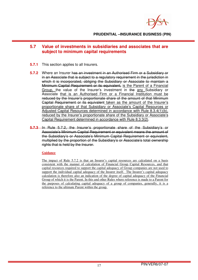

# **5.7 Value of investments in subsidiaries and associates that are subject to minimum capital requirements**

- **5.7.1** This section applies to all Insurers.
- **5.7.2** Where an Insurer has an investment in an Authorised Firm or a Subsidiary or in an Associate that is subject to a regulatory requirement in the jurisdiction in which it is incorporated, obliging the Subsidiary or Associate to maintain a Minimum Capital Requirement or its equivalent, is the Parent of a Financial Group, the value of the Insurer's investment in the any Subsidiary or Associate that is an Authorised Firm or a Financial Institution must be reduced by the Insurer's proportionate share of the amount of that Minimum Capital Requirement or its equivalent taken as the amount of the Insurer's proportionate share of that Subsidiary or Associate's Capital Resources or Adjusted Capital Resources determined in accordance with Rule 8.3.4(1)(b), reduced by the Insurer's proportionate share of the Subsidiary or Associate's Capital Requirement determined in accordance with Rule 8.3.3(2).
- **5.7.3** In Rule 5.7.2, the Insurer's proportionate share of the Subsidiary's or Associate's Minimum Capital Requirement or equivalent means the amount of the Subsidiary's or Associate's Minimum Capital Requirement or equivalent, multiplied by the proportion of the Subsidiary's or Associate's total ownership rights that is held by the Insurer.

## **Guidance**

The impact of Rule 5.7.2 is that an Insurer's capital resources are calculated on a basis consistent with the manner of calculation of Financial Group Capital Resources, and that capital resources required to support the capital adequacy of Group companies are not used to support the individual capital adequacy of the Insurer itself. The Insurer's capital adequacy calculation is therefore also an indication of the degree of capital adequacy of the Financial Group of which it is the Parent. In this and other Rules where reference is made to a Parent for the purposes of calculating capital adequacy of a group of companies, generally, it is a reference to the ultimate Parent within the group.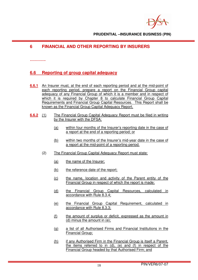# **6 FINANCIAL AND OTHER REPORTING BY INSURERS**

#### **………….**

# **6.6 Reporting of group capital adequacy**

- **6.6.1** An Insurer must, at the end of each reporting period and at the mid-point of each reporting period, prepare a report on the Financial Group capital adequacy of any Financial Group of which it is a member and in respect of which it is required by Chapter 8 to calculate Financial Group Capital Requirements and Financial Group Capital Resources. This Report shall be known as the Financial Group Capital Adequacy Report.
- **6.6.2** (1) The Financial Group Capital Adequacy Report must be filed in writing by the Insurer with the DFSA:
	- (a) within four months of the Insurer's reporting date in the case of a report at the end of a reporting period; or
	- (b) within two months of the Insurer's mid-year date in the case of a report at the mid-point of a reporting period.
	- (2) The Financial Group Capital Adequacy Report must state:
		- (a) the name of the Insurer;
		- (b) the reference date of the report;
		- (c) the name, location and activity of the Parent entity of the Financial Group in respect of which the report is made;
		- (d) the Financial Group Capital Resources, calculated in accordance with Rule 8.3.4;
		- (e) the Financial Group Capital Requirement, calculated in accordance with Rule 8.3.3;
		- (f) the amount of surplus or deficit, expressed as the amount in (d) minus the amount in (e);
		- (g) a list of all Authorised Firms and Financial Institutions in the Financial Group;
		- (h) if any Authorised Firm in the Financial Group is itself a Parent, the items referred to in (d), (e) and (f) in respect of the Financial Group headed by that Authorised Firm; and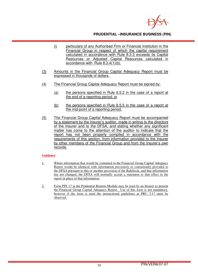

- (i) particulars of any Authorised Firm or Financial Institution in the Financial Group in respect of which the capital requirement calculated in accordance with Rule 8.3.3 exceeds its Capital Resources or Adjusted Capital Resources calculated in accordance with Rule 8.3.4(1)(b).
- (3) Amounts in the Financial Group Capital Adequacy Report must be expressed in thousands of dollars.
- (4) The Financial Group Capital Adequacy Report must be signed by:
	- (a) the persons specified in Rule 6.5.2 in the case of a report at the end of a reporting period; or
	- (b) the persons specified in Rule 6.5.5 in the case of a report at the mid-point of a reporting period.
- (5) The Financial Group Capital Adequacy Report must be accompanied by a statement by the Insurer's auditor, made in writing to the directors of the Insurer and to the DFSA, and stating whether any significant matter has come to the attention of the auditor to indicate that the report has not been properly compiled in accordance with the requirements of this section, from information provided to the Insurer by other members of the Financial Group and from the Insurer's own records.

- 1. Where information that would be contained in the Financial Group Capital Adequacy Report would be identical with information previously or concurrently provided to the DFSA pursuant to this or another provision of the Rulebook, and that information has not changed, the DFSA will normally accept a statement to that effect in the report in place of that information.
- 2. Form PIN 17 in the Prudential Returns Module may be used by an Insurer to present the Financial Group Capital Adequacy Report. Use of this form is not mandatory, however if the form is used the instructional guidelines at PRU 3.17 must be observed.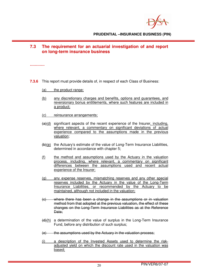

# **7.3 The requirement for an actuarial investigation of and report on long-term insurance business**

**…………**

- **7.3.6** This report must provide details of, in respect of each Class of Business:
	- (a) the product range;
	- (b) any discretionary charges and benefits, options and guarantees, and reversionary bonus entitlements, where such features are included in a product;
	- (c) reinsurance arrangements;
	- $(a)(d)$  significant aspects of the recent experience of the Insurer, including, where relevant, a commentary on significant deviations of actual experience compared to the assumptions made in the previous valuation;
	- (b)(e) the Actuary's estimate of the value of Long-Term Insurance Liabilities, determined in accordance with chapter 5;
	- (f) the method and assumptions used by the Actuary in the valuation process, including, where relevant, a commentary on significant differences between the assumptions used and recent actual experience of the Insurer;
	- (g) any expense reserves, mismatching reserves and any other special reserves included by the Actuary in the value of the Long-Term Insurance Liabilities, or recommended by the Actuary to be maintained, although not included in the valuation;
	- (c) where there has been a change in the assumptions or in valuation method from that adopted at the previous valuation, the effect of these changes on the Long-Term Insurance Liabilities as at the Reference Date:
	- $(d)$ (h) a determination of the value of surplus in the Long-Term Insurance Fund, before any distribution of such surplus;
	- $(e)$  the assumptions used by the Actuary in the valuation process;
	- (i) a description of the Invested Assets used to determine the riskadjusted yield on which the discount rate used in the valuation was based;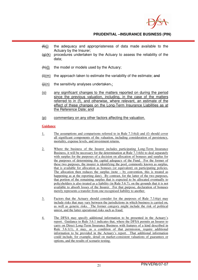

- $(H)(j)$  the adequacy and appropriateness of data made available to the Actuary by the Insurer;
- $\left(\frac{d}{dx}\right)$  procedures undertaken by the Actuary to assess the reliability of the data;
- $(h)(l)$  the model or models used by the Actuary;
- $(ii)(m)$  the approach taken to estimate the variability of the estimate; and
- $\frac{f(x)}{f(x)}$  the sensitivity analyses undertaken.;
- (o) any significant changes to the matters reported on during the period since the previous valuation, including, in the case of the matters referred to in (f), and otherwise, where relevant, an estimate of the effect of these changes on the Long-Term Insurance Liabilities as at the Reference Date; and
- (p) commentary on any other factors affecting the valuation.

- 1. The assumptions and comparisons referred to in Rule 7.3.6(d) and (f) should cover all significant components of the valuation, including consideration of persistency, mortality, expense levels, and investment returns.
- 2. Where the business of the Insurer includes participating Long-Term Insurance Business, it will be necessary for the determination at Rule 7.3.6(h) to deal separately with surplus for the purposes of a decision on allocation of bonuses and surplus for the purposes of determining the capital adequacy of the Fund. For the former of these two purposes, the insurer is identifying the pool, commonly known as surplus, that is available for allocation as bonuses (or equivalent) on participating policies. The allocation then reduces the surplus (note  $-$  by convention, this is treated as happening as at the reporting date). By contrast, for the latter of the two purposes, that portion of the remaining surplus that is expected to be allocated eventually to policyholders is also treated as a liability (in Rule 5.6.7), on the grounds that it is not available to absorb losses of the Insurer. For that purpose, declaration of bonuses merely represents a transfer from one recognised liability to another.
- 3. Factors that the Actuary should consider for the purposes of Rule 7.3.6(p) may include risks that may vary between the jurisdictions in which business is carried on, as well as generic risks. The former category might include the risk of political unrest, and the latter operational risks such as fraud.
- 4. The DFSA may specify additional information to be presented in the Actuary's report. Guidance to Rule 3.6.1 indicates that, where the DFSA permits an Insurer to carry on Direct Long-Term Insurance Business with features of a kind described in Rule 3.6.1(1), it may, as a condition of that permission, require additional information to be provided in the Actuary's report. That additional information could include, for example, detail on market-consistent valuations of guarantees or options, and the results of scenario testing.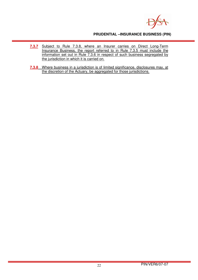

- **7.3.7** Subject to Rule 7.3.8, where an Insurer carries on Direct Long-Term Insurance Business, the report referred to in Rule 7.3.5 must include the information set out in Rule 7.3.6 in respect of such business segregated by the jurisdiction in which it is carried on.
- **7.3.8** Where business in a jurisdiction is of limited significance, disclosures may, at the discretion of the Actuary, be aggregated for those jurisdictions.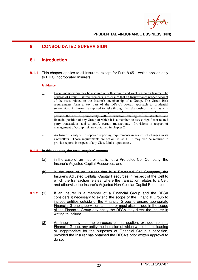# **8 CONSOLIDATED SUPERVISION**

# **8.1 Introduction**

**8.1.1** This chapter applies to all Insurers, except for Rule 8.45.1 which applies only to DIFC Incorporated Insurers.

- 1. Group membership may be a source of both strength and weakness to an Insurer. The purpose of Group Risk requirements is to ensure that an Insurer takes proper account of the risks related to the Insurer's membership of a Group. The Group Risk requirements form a key part of the DFSA's overall approach to prudential supervision. An Insurer is exposed to risks through the relationships that it has with other insurance and non-insurance companies. This chapter requires an Insurer to provide the DFSA periodically with information relating to the structure and financial position of any Group of which it is a member, to assess significant related party transactions, and to notify certain transactions. Provisions in respect of management of Group risk are contained in chapter 2.
- 2. An Insurer is subject to separate reporting requirements in respect of changes in its Controllers. Those requirements are set out in AUT. It may also be required to provide reports in respect of any Close Links it possesses.
- **8.1.2** In this chapter, the term 'surplus' means:
	- (a) in the case of an Insurer that is not a Protected Cell Company, the Insurer's Adjusted Capital Resources; and
	- (b) in the case of an Insurer that is a Protected Cell Company, the Insurer's Adjusted Cellular Capital Resources in respect of the Cell to which the transaction relates, where the transaction relates to a Cell, and otherwise the Insurer's Adjusted Non-Cellular Capital Resources.
- **8.1.2** (1) If an Insurer is a member of a Financial Group and the DFSA considers it necessary to extend the scope of the Financial Group to include entities outside of the Financial Group to ensure appropriate Financial Group supervision, an Insurer must also include in the scope of the Financial Group any entity the DFSA may direct the Insurer in writing to include.
	- (2) An Insurer may, for the purposes of this section, exclude from its Financial Group, any entity the inclusion of which would be misleading or inappropriate for the purposes of Financial Group supervision, provided the Insurer has obtained the DFSA's prior written approval to do so.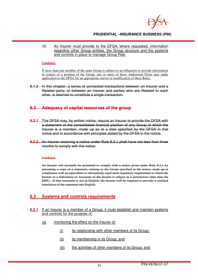

 (3) An Insurer must provide to the DFSA, where requested, information regarding other Group entities, the Group structure and the systems and controls in place to manage Group Risk.

#### **Guidance**

If more than one member of the same Group is subject to an obligation to provide information in respect of a position of the Group, one or more of those Authorised Firms may make application to the DFSA for an appropriate waiver or modification of these Rules.

**8.1.3** In this chapter, a series of connected transactions between an Insurer and a Related party, or between an Insurer and parties who are Related to each other, is deemed to constitute a single transaction.

# **8.2 Adequacy of capital resources of the group**

- **8.2.1** The DFSA may, by written notice, require an Insurer to provide the DFSA with a statement of the consolidated financial position of any Group of which the Insurer is a member, made up as at a date specified by the DFSA in that notice and in accordance with principles stated by the DFSA in the notice.
- **8.2.2** An Insurer receiving a notice under Rule 8.2.1 shall have not less than three months to comply with the notice.

#### **Guidance**

An Insurer will normally be permitted to comply with a notice given under Rule 8.2.1 by presenting a copy of a statement, relating to the Group specified in the notice, made up in compliance with an equivalent or substantially equivalent regulatory requirement to which the Insurer or a Subsidiary or Associate of the Insurer is subject in a jurisdiction other than the DIFC. If that statement is not in English, the Insurer will be required to provide a certified translation of the statement into English.

# **8.2 Systems and controls requirements**

## **8.2.1** If an Insurer is a member of a Group, it must establish and maintain systems and controls for the purpose of:

- (a) monitoring the effect on the Insurer of:
	- (i) its relationship with other members of its Group;
	- (ii) its membership in its Group; and
	- (iii) the activities of other members of its Group; and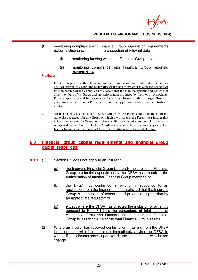

## (b) monitoring compliance with Financial Group supervision requirements below, including systems for the production of relevant data:

- (i) monitoring funding within the Financial Group; and
- (ii) monitoring compliance with Financial Group reporting requirements.

## **Guidance**

- 1. For the purposes of the above requirement, an Insurer may take into account its position within its Group, the materiality of the risk to which it is exposed because of its membership of the Group, and the access that it has to the systems and controls of other members of its Group and any information produced by them or by Associates. For example, it would be reasonable for a small Insurer within a larger Group to place some reliance on its Parent to ensure that appropriate systems and controls are in place.
- 2. An Insurer may also consider together Groups whose Parents are all members of the same Group, except for any Group of which the Insurer is the Parent. An Insurer that is itself the Parent of a Group must give specific consideration to the risks to which it is exposed as the Parent. The DFSA will not otherwise however normally expect an Insurer to apply the provisions of this Rule to sub-Groups of a single Group.

# **8.3 Financial group capital requirements and financial group capital resources**

- **8.3.1** (1) Section 8.3 does not apply to an Insurer if:
	- (a) the Insurer's Financial Group is already the subject of Financial Group prudential supervision by the DFSA as a result of the authorisation of another Financial Group member; or
	- (b) the DFSA has confirmed in writing, in response to an application from the Insurer, that it is satisfied that the Insurer's Group is the subject of consolidated prudential supervision by an appropriate regulator; or
	- (c) except where the DFSA has directed the inclusion of an entity pursuant to Rule 8.1.2(1), the percentage of total assets of Authorised Firms and Financial Institutions in the Financial Group is less than 40% of the total Financial Group assets.
	- (2) Where an Insurer has received confirmation in writing from the DFSA in accordance with (1)(b), it must immediately advise the DFSA in writing if the circumstances upon which the confirmation was based change.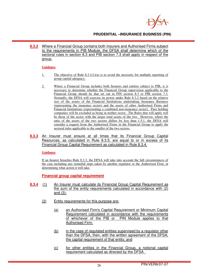

**8.3.2** Where a Financial Group contains both Insurers and Authorised Firms subject to the requirements in PIB Module, the DFSA shall determine which of the sectoral rules in section 8.3 and PIB section 7.3 shall apply in respect of the group.

#### **Guidance**

- 1. The objective of Rule 8.3.1(1)(a) is to avoid the necessity for multiple reporting of group capital adequacy.
- 2. Where a Financial Group includes both Insurers and entities subject to PIB, it is necessary to determine whether the Financial Group supervision applicable to the Financial Group should be that set out in PIN section 8.3 or PIB section 7.3. Normally, the DFSA will exercise its power under Rule 8.3.2 based on the relative size of the assets of the Financial Institutions undertaking Insurance Business (representing the insurance sector) and the assets of other Authorised Firms and Financial Institutions (representing a combined non-insurance sector). Pure holding companies will be excluded as being in neither sector. The Rules that will apply will be those of the sector with the larger total assets of the two. However, where the ratio of the assets of the two sectors differs by less than 1.5:1, the DFSA will consider a request from the Authorised Firms in the Financial Group to apply the sectoral rules applicable to the smaller of the two sectors.
- **8.3.3** An Insurer must ensure at all times that its Financial Group Capital Resources, as calculated in Rule 8.3.5, are equal to or in excess of its Financial Group Capital Requirement as calculated in Rule 8.3.4.

#### **Guidance**

If an Insurer breaches Rule 8.3.3, the DFSA will take into account the full circumstances of the case including any remedial steps taken by another regulator or the Authorised Firm, in determining what action it will take.

**Financial group capital requirement**

- **8.3.4** (1) An Insurer must calculate its Financial Group Capital Requirement as the sum of the entity requirements calculated in accordance with (2) and (3);
	- (2) Entity requirements for this purpose are:
		- (a) an Authorised Firm's Capital Requirement or Minimum Capital Requirement calculated in accordance with the requirements of whichever of the PIB or PIN Module applies to that Authorised Firm;
		- (b) in the case of regulated entities supervised by a regulator other than the DFSA, then, with the written agreement of the DFSA, the capital requirement of that entity; and
		- (c) for other entities in the Financial Group, a notional capital requirement calculated as directed by the DFSA .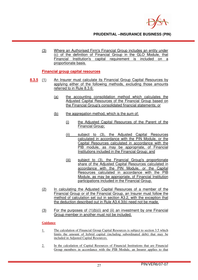

(3) Where an Authorised Firm's Financial Group includes an entity under (c) of the definition of Financial Group in the GLO Module, that Financial Institution's capital requirement is included on a proportionate basis.

**Financial group capital resources**

- **8.3.5** (1) An Insurer must calculate its Financial Group Capital Resources by applying either of the following methods, excluding those amounts referred to in Rule 8.3.6:
	- (a) the accounting consolidation method which calculates the Adjusted Capital Resources of the Financial Group based on the Financial Group's consolidated financial statements; or
	- (b) the aggregation method, which is the sum of:
		- (i) the Adjusted Capital Resources of the Parent of the Financial Group;
		- (ii) subject to (3), the Adjusted Capital Resources calculated in accordance with the PIN Module, or the Capital Resources calculated in accordance with the PIB module, as may be appropriate, of Financial Institutions included in the Financial Group; and
		- (iii) subject to (3), the Financial Group's proportionate share of the Adjusted Capital Resources calculated in accordance with the PIN Module, or the Capital Resources calculated in accordance with the PIB Module, as may be appropriate, of Financial Institution participations included in the Financial Group.
	- (2) In calculating the Adjusted Capital Resources of a member of the Financial Group or of the Financial Group, an Insurer must follow the method of calculation set out in section A3.2, with the exception that the deduction described out in Rule A3.4.3(b) need not be made.
	- $(3)$  For the purposes of  $(1)(b)(i)$  and  $(ii)$  an investment by one Financial Group member in another must not be included.

- 1. The calculation of Financial Group Capital Resources is subject to section 3.5 which limits the amount of hybrid capital (including subordinated debt) that may be included in Adjusted Capital Resources.
- 2. In the calculation of Capital Resources of Financial Institutions that are Financial Group members in accordance with the PIB Module, an Insurer applies to that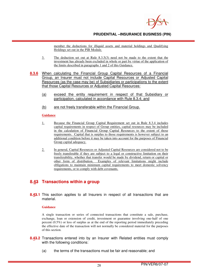

member the deductions for illiquid assets and material holdings and Qualifying Holdings set out in the PIB Module.

- 3. The deduction set out at Rule 8.3.5(3) need not be made to the extent that the investment has already been excluded in whole or part by virtue of the application of the limits described in paragraphs 1 and 2 of this Guidance.
- **8.3.6** When calculating the Financial Group Capital Resources of a Financial Group, an Insurer must not include Capital Resources or Adjusted Capital Resources (as the case may be) of Subsidiaries or participations to the extent that those Capital Resources or Adjusted Capital Resources:
	- (a) exceed the entity requirement in respect of that Subsidiary or participation, calculated in accordance with Rule 8.3.4; and
	- (b) are not freely transferable within the Financial Group.

#### **Guidance**

- 1. Because the Financial Group Capital Requirement set out in Rule 8.3.4 includes capital requirements in respect of Group entities, capital resources may be included in the calculation of Financial Group Capital Resources to the extent of those requirements. Capital that is surplus to those requirements is however subject to an additional condition before it may be taken into account for the purposes of Financial Group capital adequacy.
- 2. In general, Capital Resources or Adjusted Capital Resources are considered not to be freely transferable if they are subject to a legal or constructive limitation on their transferability, whether that transfer would be made by dividend, return or capital or other form of distribution. Examples of relevant limitations might include obligations to maintain minimum capital requirements to meet domestic solvency requirements, or to comply with debt covenants.

# **8.43 Transactions within a group**

**8.43.1** This section applies to all Insurers in respect of all transactions that are material.

#### **Guidance**

A single transaction or series of connected transactions that constitute a sale, purchase, exchange, loan or extension of credit, investment or guarantee involving one-half of one percent (0.5%) or less of surplus as at the end of the reporting period immediately preceding the effective date of the transaction will not normally be considered material for the purposes of this section.

- **8.43.2** Transactions entered into by an Insurer with Related entities must comply with the following conditions:
	- (a) the terms of the transactions must be fair and reasonable; and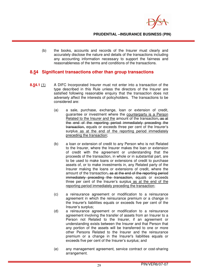

(b) the books, accounts and records of the Insurer must clearly and accurately disclose the nature and details of the transactions including any accounting information necessary to support the fairness and reasonableness of the terms and conditions of the transactions.

# **8.54 Significant transactions other than group transactions**

- **8.54.1** (1) A DIFC Incorporated Insurer must not enter into a transaction of the type described in this Rule unless the directors of the Insurer are satisfied following reasonable enquiry that the transaction does not adversely affect the interests of policyholders. The transactions to be considered are:
	- (a) a sale, purchase, exchange, loan or extension of credit, guarantee or investment where the counterparty is a Person Related to the Insurer and the amount of the transaction. as at the end of the reporting period immediately preceding the transaction, equals or exceeds three per cent of the Insurer's surplus as at the end of the reporting period immediately preceding the transaction;
	- (b) a loan or extension of credit to any Person who is not Related to the Insurer, where the Insurer makes the loan or extension of credit with the agreement or understanding that the proceeds of the transaction, in whole or in substantial part, are to be used to make loans or extensions of credit to purchase assets of, or to make investments in, any Related party of the Insurer making the loans or extensions of credit, where the amount of the transaction, as at the end of the reporting period immediately preceding the transaction, equals or exceeds three per cent of the Insurer's surplus as at the end of the reporting period immediately preceding the transaction;
	- (c) a reinsurance agreement or modification to a reinsurance agreement in which the reinsurance premium or a change in the Insurer's liabilities equals or exceeds five per cent of the Insurer's surplus;
	- (d) a reinsurance agreement or modification to a reinsurance agreement involving the transfer of assets from an Insurer to a Person not Related to the Insurer, if an agreement or understanding exists between the Insurer and that Person that any portion of the assets will be transferred to one or more other Persons Related to the Insurer and the reinsurance premium or a change in the Insurer's liabilities equals or exceeds five per cent of the Insurer's surplus; and
	- (e) any management agreement, service contract or cost-sharing arrangement.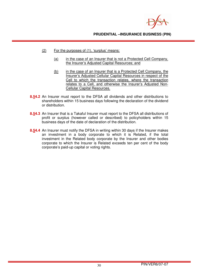

- (2) For the purposes of (1), 'surplus' means:
	- (a) in the case of an Insurer that is not a Protected Cell Company, the Insurer's Adjusted Capital Resources; and
	- (b) in the case of an Insurer that is a Protected Cell Company, the Insurer's Adjusted Cellular Capital Resources in respect of the Cell to which the transaction relates, where the transaction relates to a Cell, and otherwise the Insurer's Adjusted Non-Cellular Capital Resources.
- **8.54.2** An Insurer must report to the DFSA all dividends and other distributions to shareholders within 15 business days following the declaration of the dividend or distribution.
- **8.54.3** An Insurer that is a Takaful Insurer must report to the DFSA all distributions of profit or surplus (however called or described) to policyholders within 15 business days of the date of declaration of the distribution.
- **8.54.4** An Insurer must notify the DFSA in writing within 30 days if the Insurer makes an investment in a body corporate to which it is Related, if the total investment in the Related body corporate by the Insurer and other bodies corporate to which the Insurer is Related exceeds ten per cent of the body corporate's paid-up capital or voting rights.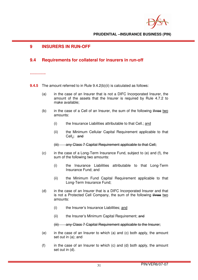# **9 INSURERS IN RUN-OFF**

# **9.4 Requirements for collateral for insurers in run-off**

#### **………….**

**9.4.5** The amount referred to in Rule 9.4.2(b)(ii) is calculated as follows:

- (a) in the case of an Insurer that is not a DIFC Incorporated Insurer, the amount of the assets that the Insurer is required by Rule 4.7.2 to make available;
- (b) in the case of a Cell of an Insurer, the sum of the following three two amounts:
	- (i) the Insurance Liabilities attributable to that Cell.; and
	- (ii) the Minimum Cellular Capital Requirement applicable to that Cell.; and

(iii) any Class 7 Capital Requirement applicable to that Cell;

- (c) in the case of a Long-Term Insurance Fund, subject to (e) and (f), the sum of the following two amounts:
	- (i) the Insurance Liabilities attributable to that Long-Term Insurance Fund; and
	- (ii) the Minimum Fund Capital Requirement applicable to that Long-Term Insurance Fund;
- (d) in the case of an Insurer that is a DIFC Incorporated Insurer and that is not a Protected Cell Company, the sum of the following three two amounts:
	- (i) the Insurer's Insurance Liabilities; and
	- (ii) the Insurer's Minimum Capital Requirement; and

(iii) any Class 7 Capital Requirement applicable to the Insurer;

- (e) in the case of an Insurer to which (a) and (c) both apply, the amount set out in (a); and
- (f) in the case of an Insurer to which (c) and (d) both apply, the amount set out in (d).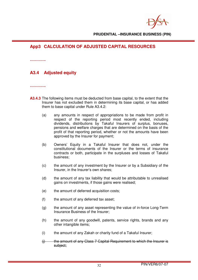# **App3 CALCULATION OF ADJUSTED CAPITAL RESOURCES**

**………….** 

# **A3.4 Adjusted equity**

**………….** 

- **A3.4.3** The following items must be deducted from base capital, to the extent that the Insurer has not excluded them in determining its base capital, or has added them to base capital under Rule A3.4.2:
	- (a) any amounts in respect of appropriations to be made from profit in respect of the reporting period most recently ended, including dividends, distributions by Takaful Insurers of surplus, bonuses, pensions and welfare charges that are determined on the basis of the profit of that reporting period, whether or not the amounts have been approved by the Insurer for payment;
	- (b) Owners' Equity in a Takaful Insurer that does not, under the constitutional documents of the Insurer or the terms of insurance contracts or both, participate in the surpluses and losses of Takaful business;
	- (c) the amount of any investment by the Insurer or by a Subsidiary of the Insurer, in the Insurer's own shares;
	- (d) the amount of any tax liability that would be attributable to unrealised gains on investments, if those gains were realised;
	- (e) the amount of deferred acquisition costs;
	- (f) the amount of any deferred tax asset;
	- (g) the amount of any asset representing the value of in-force Long-Term Insurance Business of the Insurer;
	- (h) the amount of any goodwill, patents, service rights, brands and any other intangible items;
	- (i) the amount of any Zakah or charity fund of a Takaful Insurer;
	- $(i)$  the amount of any Class 7 Capital Requirement to which the Insurer is subject;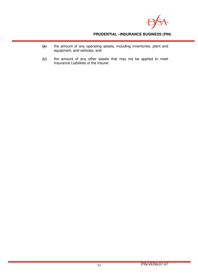

- (jk) the amount of any operating assets, including inventories, plant and equipment, and vehicles; and
- $(k)$  the amount of any other assets that may not be applied to meet Insurance Liabilities of the Insurer.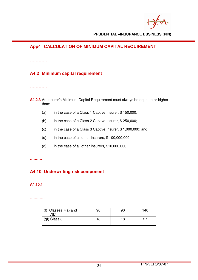# **App4 CALCULATION OF MINIMUM CAPITAL REQUIREMENT**

**…………**

# **A4.2 Minimum capital requirement**

**…………**

- **A4.2.3** An Insurer's Minimum Capital Requirement must always be equal to or higher than:
	- (a) in the case of a Class 1 Captive Insurer, \$ 150,000;
	- (b) in the case of a Class 2 Captive Insurer, \$ 250,000;
	- (c) in the case of a Class 3 Captive Insurer, \$ 1,000,000; and
	- $(d)$  in the case of all other Insurers,  $$100,000,000$ .
	- (d) in the case of all other Insurers, \$10,000,000.

**……….** 

# **A4.10 Underwriting risk component**

## **A4.10.1**

**………….** 

| Classes 7(a) and<br>(b |  |  |
|------------------------|--|--|
| $(gf)$ Class 8         |  |  |

**………….**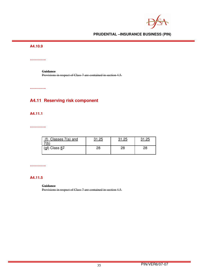## **A4.10.9**

**………….** 

**Guidance**  Provisions in respect of Class 7 are contained in section 4.5.

**………….** 

# **A4.11 Reserving risk component**

## **A4.11.1**

**………….** 

| Classes 7(a) and<br>ιv         | つに | っに |    |
|--------------------------------|----|----|----|
| ( <u>a</u> f) Class <u>8</u> 7 | 20 | 28 | 28 |

**………….** 

# **A4.11.5**

**Guidance** 

Provisions in respect of Class 7 are contained in section 4.5.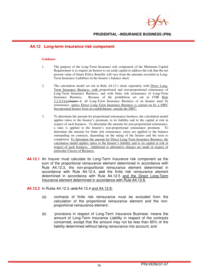

## **A4.12 Long-term insurance risk component**

- 1. The purpose of the Long-Term Insurance risk component of the Minimum Capital Requirement is to require an Insurer to set aside capital to address the risk that the net present value of future Policy Benefits will vary from the amounts recorded as Long-Term Insurance Liabilities in the Insurer's balance sheet.
- 2. The calculation model set out in Rule A4.12.1 deals separately with Direct Long-Term Insurance Business, with proportional and non-proportional reinsurance of Long-Term Insurance Business, and with finite risk reinsurance of Long-Term Insurance Business. Because of the prohibition set out in COB Rule  $2.2.2(1)(a)$ chapter 2, all Long-Term Insurance Business of an Insurer must be reinsurance, unless Direct Long-Term Insurance Business is carried on by a DIFC Incorporated Insurer from an establishment outside the DIFC.
- 3. To determine the amount for proportional reinsurance business, the calculation model applies ratios to the Insurer's premium, to its liability and to the capital at risk in respect of such business. To determine the amount for non-proportional reinsurance, a ratio is applied to the Insurer's non-proportional reinsurance premium. To determine the amount for finite risk reinsurance, ratios are applied to the balance outstanding on contracts, depending on the rating of the Insurer and the term to completion. To determine the amount for Direct Long-Term Insurance Business, the calculation model applies ratios to the Insurer's liability and to its capital at risk in respect of such business. Additional or alternative charges are made in respect of particular Classes of Business.
- **A4.12.1** An Insurer must calculate its Long-Term Insurance risk component as the sum of the proportional reinsurance element determined in accordance with Rule A4.12.3, the non-proportional reinsurance element determined in accordance with Rule A4.12.4, and the finite risk reinsurance element determined in accordance with Rule A4.12.5 and the Direct Long-Term Insurance element determined in accordance with Rule A4.12.8.
- **A4.12.2** In Rules A4.12.3, and A4.12.4 and A4.12.8:
	- (a) contracts of finite risk reinsurance must be excluded from the calculation of the proportional reinsurance element and the nonproportional reinsurance element;
	- (b) 'provisions in respect of Long-Term Insurance Business' means the amount of Long-Term Insurance Liability in respect of the contracts concerned, except that the amount may not be less than 85% of the liability determined without taking reinsurance into account; and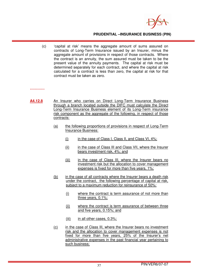

(c) 'capital at risk' means the aggregate amount of sums assured on contracts of Long-Term Insurance issued by an Insurer, minus the aggregate amount of provisions in respect of those contracts. Where the contract is an annuity, the sum assured must be taken to be the present value of the annuity payments. The capital at risk must be determined separately for each contract, and where the capital at risk calculated for a contract is less than zero, the capital at risk for that contract must be taken as zero.

#### **…………**

- A4.12.8 An Insurer who carries on Direct Long-Term Insurance Business through a branch located outside the DIFC must calculate the Direct Long-Term Insurance Business element of its Long-Term insurance risk component as the aggregate of the following, in respect of those contracts:
	- (a) the following proportions of provisions in respect of Long-Term Insurance Business:
		- $(i)$  in the case of Class I, Class II, and Class VI,  $4\%$ ;
		- (ii) in the case of Class III and Class VII, where the Insurer bears investment risk, 4%; and
		- (iii) in the case of Class III, where the Insurer bears no investment risk but the allocation to cover management expenses is fixed for more than five years, 1%;
	- (b) in the case of all contracts where the Insurer bears a death risk under the contract, the following percentage of capital at risk, subject to a maximum reduction for reinsurance of 50%:
		- (i) where the contract is term assurance of not more than three years, 0.1%;
		- (ii) where the contract is term assurance of between three and five years, 0.15%; and
		- (iii) in all other cases, 0.3%;
	- (c) in the case of Class III, where the Insurer bears no investment risk and the allocation to cover management expenses is not fixed for more than five years, 25% of the Insurer's net administrative expenses in the past financial year pertaining to such business;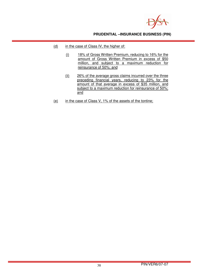

- (d) in the case of Class IV, the higher of:
	- (i) 18% of Gross Written Premium, reducing to 16% for the amount of Gross Written Premium in excess of \$50 million, and subject to a maximum reduction for reinsurance of 50%; and
	- (ii) 26% of the average gross claims incurred over the three preceding financial years, reducing to 23% for the amount of that average in excess of \$35 million, and subject to a maximum reduction for reinsurance of 50%; and
- (e) in the case of Class V, 1% of the assets of the tontine;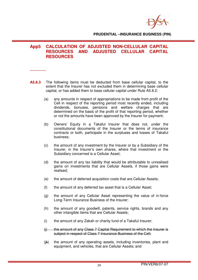

# **App5 CALCULATION OF ADJUSTED NON-CELLULAR CAPITAL RESOURCES AND ADJUSTED CELLULAR CAPITAL RESOURCES**

**………….** 

- **A5.8.3** The following items must be deducted from base cellular capital, to the extent that the Insurer has not excluded them in determining base cellular capital, or has added them to base cellular capital under Rule A5.8.2:
	- (a) any amounts in respect of appropriations to be made from profit of the Cell in respect of the reporting period most recently ended, including dividends, bonuses, pensions and welfare charges that are determined on the basis of the profit of that reporting period, whether or not the amounts have been approved by the Insurer for payment;
	- (b) Owners' Equity in a Takaful Insurer that does not, under the constitutional documents of the Insurer or the terms of insurance contracts or both, participate in the surpluses and losses of Takaful business;
	- (c) the amount of any investment by the Insurer or by a Subsidiary of the Insurer, in the Insurer's own shares, where that investment or the Subsidiary concerned is a Cellular Asset;
	- (d) the amount of any tax liability that would be attributable to unrealised gains on investments that are Cellular Assets, if those gains were realised;
	- (e) the amount of deferred acquisition costs that are Cellular Assets;
	- (f) the amount of any deferred tax asset that is a Cellular Asset;
	- (g) the amount of any Cellular Asset representing the value of in-force Long-Term Insurance Business of the Insurer;
	- (h) the amount of any goodwill, patents, service rights, brands and any other intangible items that are Cellular Assets;
	- $(i)$  the amount of any Zakah or charity fund of a Takaful Insurer;
	- $(i)$  the amount of any Class 7 Capital Requirement to which the Insurer is subject in respect of Class 7 Insurance Business of the Cell;
	- (ik) the amount of any operating assets, including inventories, plant and equipment, and vehicles, that are Cellular Assets; and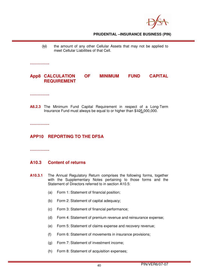$(k)$  the amount of any other Cellular Assets that may not be applied to meet Cellular Liabilities of that Cell.

**…………….** 

# **App8 CALCULATION OF MINIMUM FUND CAPITAL REQUIREMENT**

**…………….** 

**A8.2.3** The Minimum Fund Capital Requirement in respect of a Long-Term Insurance Fund must always be equal to or higher than \$105,000,000.

**…………….** 

# **APP10 REPORTING TO THE DFSA**

#### **…………….**

# **A10.3 Content of returns**

- **A10.3.1** The Annual Regulatory Return comprises the following forms, together with the Supplementary Notes pertaining to those forms and the Statement of Directors referred to in section A10.5:
	- (a) Form 1: Statement of financial position;
	- (b) Form 2: Statement of capital adequacy;
	- (c) Form 3: Statement of financial performance;
	- (d) Form 4: Statement of premium revenue and reinsurance expense;
	- (e) Form 5: Statement of claims expense and recovery revenue;
	- (f) Form 6: Statement of movements in insurance provisions;
	- (g) Form 7: Statement of investment income;
	- (h) Form 8: Statement of acquisition expenses;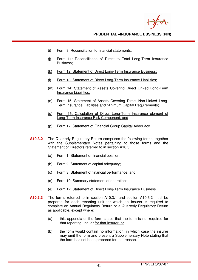- (i) Form 9: Reconciliation to financial statements.
- (i) Form 11: Reconciliation of Direct to Total Long-Term Insurance Business;
- (k) Form 12: Statement of Direct Long-Term Insurance Business;
- (l) Form 13: Statement of Direct Long-Term Insurance Liabilities;
- (m) Form 14: Statement of Assets Covering Direct Linked Long-Term Insurance Liabilities;
- (n) Form 15: Statement of Assets Covering Direct Non-Linked Long-Term Insurance Liabilities and Minimum Capital Requirements;
- (o) Form 16: Calculation of Direct Long-Term Insurance element of Long-Term Insurance Risk Component; and
- (p) Form 17: Statement of Financial Group Capital Adequacy.
- **A10.3.2** The Quarterly Regulatory Return comprises the following forms, together with the Supplementary Notes pertaining to those forms and the Statement of Directors referred to in section A10.5:
	- (a) Form 1: Statement of financial position;
	- (b) Form 2: Statement of capital adequacy;
	- (c) Form 3: Statement of financial performance; and
	- (d) Form 10: Summary statement of operations
	- (e) Form 12: Statement of Direct Long-Term Insurance Business.
- **A10.3.3** The forms referred to in section A10.3.1 and section A10.3.2 must be prepared for each reporting unit for which an Insurer is required to complete an Annual Regulatory Return or a Quarterly Regulatory Return as applicable, except where:
	- (a) this appendix or the form states that the form is not required for that reporting unit, or for that Insurer; or
	- (b) the form would contain no information, in which case the insurer may omit the form and present a Supplementary Note stating that the form has not been prepared for that reason.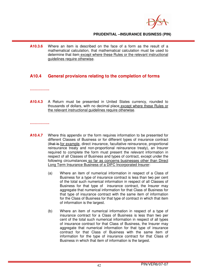

**A10.3.6** Where an item is described on the face of a form as the result of a mathematical calculation, that mathematical calculation must be used to determine that item except where these Rules or the relevant instructional guidelines require otherwise.

# **A10.4 General provisions relating to the completion of forms**

**…………….** 

**A10.4.3** A Return must be presented in United States currency, rounded to thousands of dollars, with no decimal place except where these Rules or the relevant instructional guidelines require otherwise.

**…………….** 

- **A10.4.7** Where this appendix or the form requires information to be presented for different Classes of Business or for different types of insurance contract (that is for example, direct insurance, facultative reinsurance, proportional reinsurance treaty and non-proportional reinsurance treaty), an Insurer required to complete the form must present the relevant information in respect of all Classes of Business and types of contract, except under the following circumstances so far as concerns businesses other than Direct Long Term Insurance Business of a DIFC Incorporated Insurer:
	- (a) Where an item of numerical information in respect of a Class of Business for a type of insurance contract is less than two per cent of the total such numerical information in respect of all Classes of Business for that type of insurance contract, the Insurer may aggregate that numerical information for that Class of Business for that type of insurance contract with the same item of information for the Class of Business for that type of contract in which that item of information is the largest.
	- (b) Where an item of numerical information in respect of a type of insurance contract for a Class of Business is less than two per cent of the total such numerical information in respect of all types of insurance contract for that Class of Business, the Insurer may aggregate that numerical information for that type of insurance contract for that Class of Business with the same item of information for the type of insurance contract for that Class of Business in which that item of information is the largest.